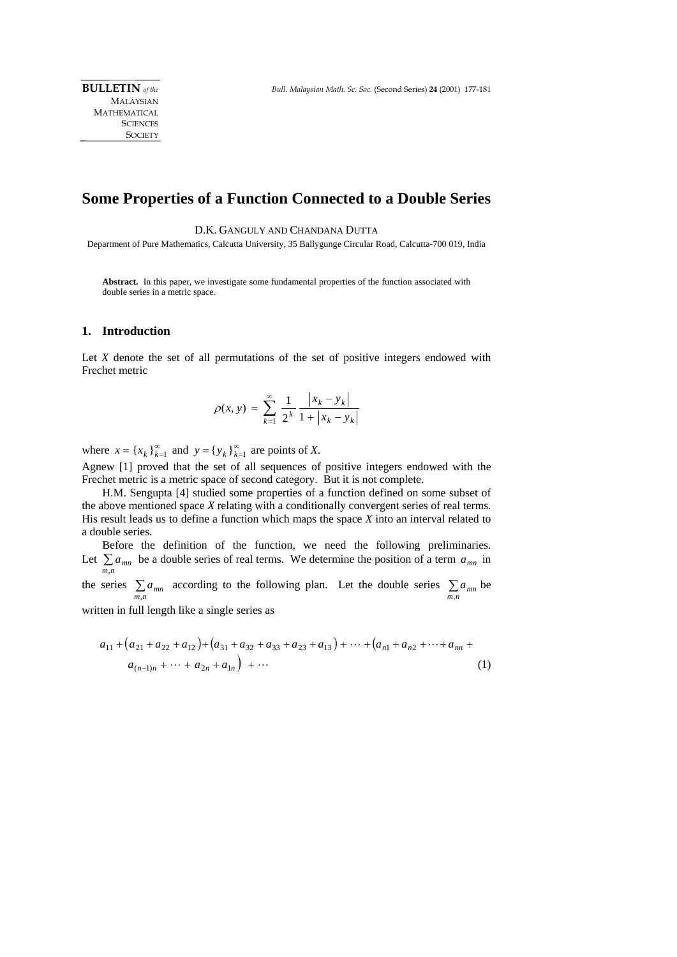MALAYSIAN MATHEMATICAL **SCIENCES SOCIETY** 

## **Some Properties of a Function Connected to a Double Series**

D.K. GANGULY AND CHANDANA DUTTA

Department of Pure Mathematics, Calcutta University, 35 Ballygunge Circular Road, Calcutta-700 019, India

**Abstract.** In this paper, we investigate some fundamental properties of the function associated with double series in a metric space.

## **1. Introduction**

Let *X* denote the set of all permutations of the set of positive integers endowed with Frechet metric

$$
\rho(x, y) = \sum_{k=1}^{\infty} \frac{1}{2^k} \frac{|x_k - y_k|}{1 + |x_k - y_k|}
$$

where  $x = \{x_k\}_{k=1}^{\infty}$  and  $y = \{y_k\}_{k=1}^{\infty}$  are points of *X*.

Agnew [1] proved that the set of all sequences of positive integers endowed with the Frechet metric is a metric space of second category. But it is not complete.

 H.M. Sengupta [4] studied some properties of a function defined on some subset of the above mentioned space *X* relating with a conditionally convergent series of real terms. His result leads us to define a function which maps the space *X* into an interval related to a double series.

 Before the definition of the function, we need the following preliminaries. Let  $\sum_{m,n} a_{mn}$  be a double series of real terms. We determine the position of a term  $a_{mn}$  in *m n*

the series  $\sum_{m,n} a_{mn}$  according to the following plan. Let the double series  $\sum_{m,n} a_{mn}$ be

written in full length like a single series as

$$
a_{11} + (a_{21} + a_{22} + a_{12}) + (a_{31} + a_{32} + a_{33} + a_{23} + a_{13}) + \dots + (a_{n1} + a_{n2} + \dots + a_{nn} + a_{(n-1)n} + \dots + a_{2n} + a_{1n}) + \dots
$$
\n(1)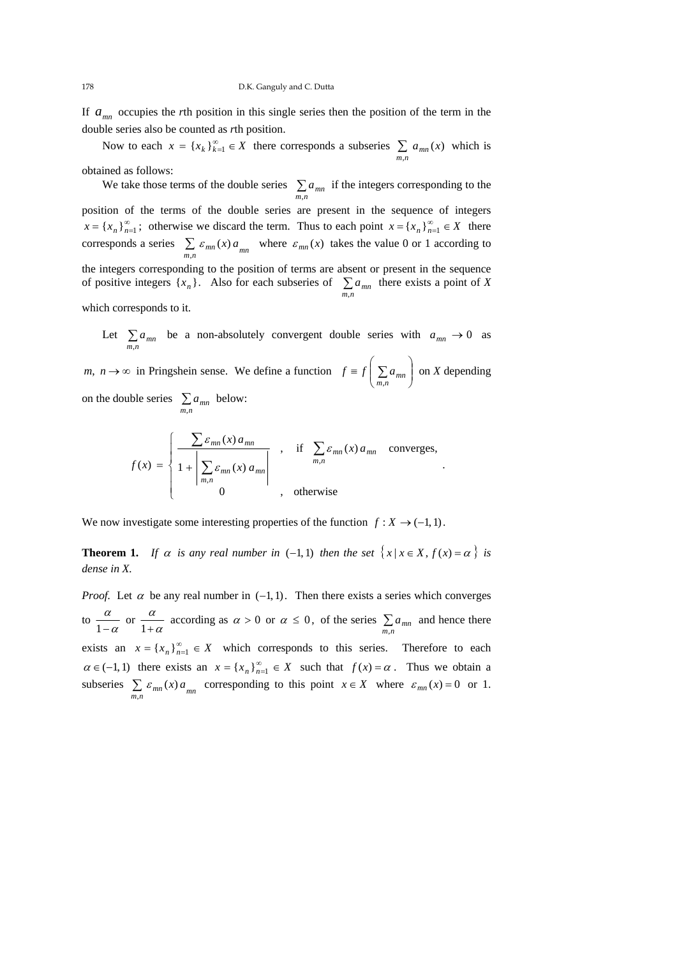If  $a_{mn}$  occupies the *r*th position in this single series then the position of the term in the double series also be counted as *r*th position.

Now to each  $x = \{x_k\}_{k=1}^{\infty} \in X$  there corresponds a subseries  $\sum_{m,n} a_{mn}(x)$  which is obtained as follows:

We take those terms of the double series  $\sum_{m,n} a_{mn}$  if the integers corresponding to the position of the terms of the double series are present in the sequence of integers  $x = \{x_n\}_{n=1}^{\infty}$ ; otherwise we discard the term. Thus to each point  $x = \{x_n\}_{n=1}^{\infty} \in X$  there corresponds a series  $\sum_{m,n} \varepsilon_{mn}(x) a_{mn}$  where  $\varepsilon_{mn}(x)$  takes the value 0 or 1 according to the integers corresponding to the position of terms are absent or present in the sequence of positive integers  $\{x_n\}$ . Also for each subseries of  $\sum_{m,n} a_{mn}$ there exists a point of *X* 

which corresponds to it.

Let  $\sum_{m,n} a_{mn}$  be a non-absolutely convergent double series with  $a_{mn} \to 0$  as

*m*,  $n \to \infty$  in Pringshein sense. We define a function  $f \equiv f \left| \sum a_{mn} \right|$ ⎠ ⎞  $\parallel$ ⎝  $f \equiv f \left( \sum_{m,n} a_{mn} \right)$  on *X* depending on the double series  $\sum_{m,n} a_{mn}$ below:

$$
f(x) = \begin{cases} \frac{\sum \varepsilon_{mn}(x) a_{mn}}{1 + \left|\sum_{m,n} \varepsilon_{mn}(x) a_{mn}\right|} & , & \text{if } \sum_{m,n} \varepsilon_{mn}(x) a_{mn} \text{ converges,} \\ 0 & , & \text{otherwise} \end{cases}
$$

.

We now investigate some interesting properties of the function  $f: X \to (-1, 1)$ .

**Theorem 1.** *If*  $\alpha$  *is any real number in* (−1, 1) *then the set*  $\{x \mid x \in X, f(x) = \alpha\}$  *is dense in X.* 

*Proof.* Let  $\alpha$  be any real number in  $(-1, 1)$ . Then there exists a series which converges to  $\frac{a}{1-\alpha}$  $\frac{\alpha}{1-\alpha}$  or  $\frac{\alpha}{1+\alpha}$ α  $\frac{\alpha}{1+\alpha}$  according as  $\alpha > 0$  or  $\alpha \le 0$ , of the series  $\sum_{m,n} a_{mn}$  and hence there exists an  $x = \{x_n\}_{n=1}^{\infty} \in X$  which corresponds to this series. Therefore to each  $\alpha \in (-1, 1)$  there exists an  $x = \{x_n\}_{n=1}^{\infty} \in X$  such that  $f(x) = \alpha$ . Thus we obtain a subseries  $\sum_{m,n} \varepsilon_{mn}(x) a_{mn}$  corresponding to this point  $x \in X$  where  $\varepsilon_{mn}(x) = 0$  or 1.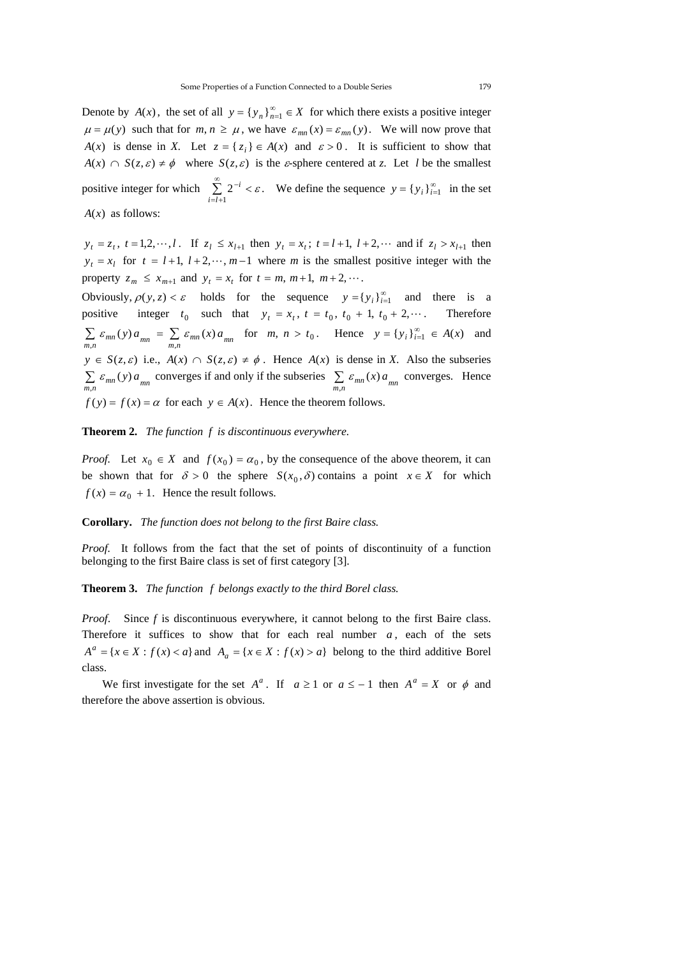Denote by  $A(x)$ , the set of all  $y = \{y_n\}_{n=1}^{\infty} \in X$  for which there exists a positive integer  $\mu = \mu(y)$  such that for  $m, n \ge \mu$ , we have  $\varepsilon_{mn}(x) = \varepsilon_{mn}(y)$ . We will now prove that *A*(*x*) is dense in *X*. Let  $z = \{z_i\} \in A(x)$  and  $\varepsilon > 0$ . It is sufficient to show that  $A(x) \cap S(z, \varepsilon) \neq \phi$  where  $S(z, \varepsilon)$  is the *ε*-sphere centered at *z*. Let *l* be the smallest positive integer for which  $\sum_{n=1}^{\infty}$  $=l +$  $^{-i}$  < 1  $2^{-i} < \varepsilon$ .  $\sum_{i=l+1}^{\infty} 2^{-i} < \varepsilon$ . We define the sequence  $y = \{y_i\}_{i=1}^{\infty}$  in the set *A*(*x*) as follows:

 $y_t = z_t$ ,  $t = 1,2,\dots, l$ . If  $z_t \le x_{t+1}$  then  $y_t = x_t$ ;  $t = l+1$ ,  $l+2,\dots$  and if  $z_t > x_{t+1}$  then  $y_t = x_l$  for  $t = l + 1$ ,  $l + 2, \dots, m - 1$  where *m* is the smallest positive integer with the property  $z_m \leq x_{m+1}$  and  $y_t = x_t$  for  $t = m, m+1, m+2, \dots$ .

Obviously,  $\rho(y, z) < \varepsilon$  holds for the sequence  $y = \{y_i\}_{i=1}^{\infty}$  and there is a positive integer  $t_0$  such that  $y_t = x_t$ ,  $t = t_0$ ,  $t_0 + 1$ ,  $t_0 + 2$ ,... Therefore  $\sum_{m,n} \varepsilon_{mn}(y) a_{mn} = \sum_{m,n} \varepsilon_{mn}(x) a_{mn}$  for  $m, n > t_0$ . Hence  $y = \{y_i\}_{i=1}^{\infty} \in A(x)$  and  $y \in S(z, \varepsilon)$  i.e.,  $A(x) \cap S(z, \varepsilon) \neq \emptyset$ . Hence  $A(x)$  is dense in *X*. Also the subseries  $\sum_{m,n} \varepsilon_{mn}(y) a_{mn}$  converges if and only if the subseries  $\sum_{m,n} \varepsilon_{mn}(x) a_{mn}$  converges. Hence  $f(y) = f(x) = \alpha$  for each  $y \in A(x)$ . Hence the theorem follows.

**Theorem 2.** *The function f is discontinuous everywhere.* 

*Proof.* Let  $x_0 \in X$  and  $f(x_0) = \alpha_0$ , by the consequence of the above theorem, it can be shown that for  $\delta > 0$  the sphere  $S(x_0, \delta)$  contains a point  $x \in X$  for which  $f(x) = \alpha_0 + 1$ . Hence the result follows.

**Corollary.** *The function does not belong to the first Baire class.* 

*Proof.* It follows from the fact that the set of points of discontinuity of a function belonging to the first Baire class is set of first category [3].

## **Theorem 3.** *The function f belongs exactly to the third Borel class.*

*Proof*.Since *f* is discontinuous everywhere, it cannot belong to the first Baire class. Therefore it suffices to show that for each real number  $a$ , each of the sets  $A^a = \{x \in X : f(x) < a\}$  and  $A_a = \{x \in X : f(x) > a\}$  belong to the third additive Borel class.

We first investigate for the set  $A^a$ . If  $a \ge 1$  or  $a \le -1$  then  $A^a = X$  or  $\phi$  and therefore the above assertion is obvious.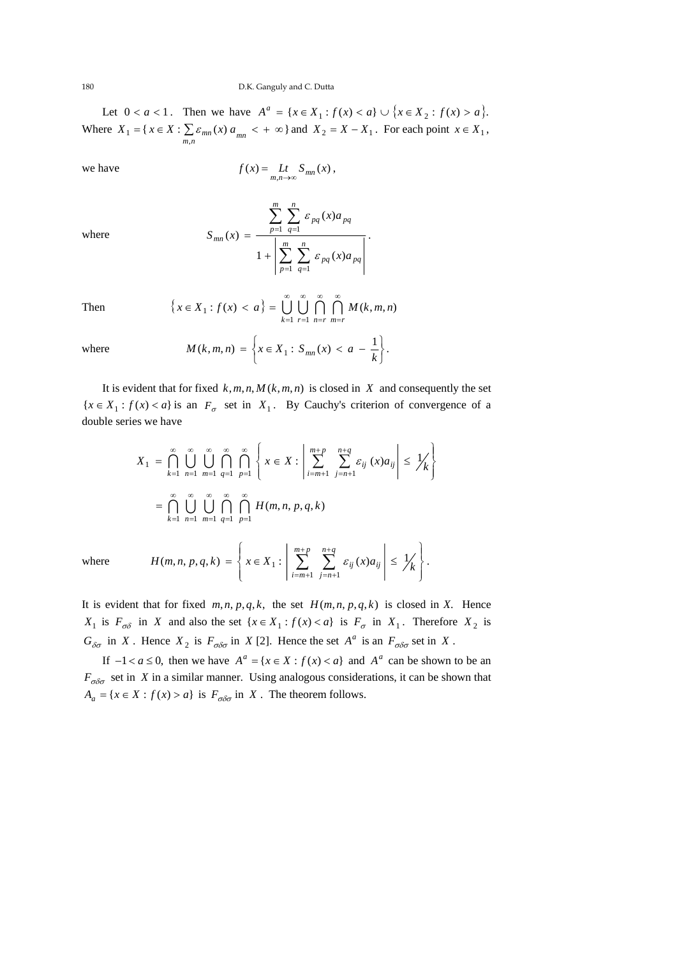Let  $0 < a < 1$ . Then we have  $A^a = \{x \in X_1 : f(x) < a\} \cup \{x \in X_2 : f(x) > a\}.$ Where  $X_1 = \{ x \in X : \sum_{m,n} \varepsilon_{mn}(x) a_{mn} < +\infty \}$  and  $X_2 = X - X_1$ . For each point  $x \in X_1$ ,

we have  $f(x) = \lim_{m,n \to \infty} f(x)$ ,

where

$$
S_{mn}(x) = \frac{\sum_{p=1}^{m} \sum_{q=1}^{n} \varepsilon_{pq}(x) a_{pq}}{1 + \left| \sum_{p=1}^{m} \sum_{q=1}^{n} \varepsilon_{pq}(x) a_{pq} \right|}.
$$

Then 
$$
\{x \in X_1 : f(x) < a\} = \bigcup_{k=1}^{\infty} \bigcup_{r=1}^{\infty} \bigcap_{n=r}^{\infty} \bigcap_{m=r}^{\infty} M(k, m, n)
$$

where 
$$
M(k, m, n) = \left\{ x \in X_1 : S_{mn}(x) < a - \frac{1}{k} \right\}.
$$

It is evident that for fixed  $k, m, n, M(k, m, n)$  is closed in *X* and consequently the set  ${x \in X_1 : f(x) < a}$  is an  $F_{\sigma}$  set in  $X_1$ . By Cauchy's criterion of convergence of a double series we have

$$
X_{1} = \bigcap_{k=1}^{\infty} \bigcup_{n=1}^{\infty} \bigcup_{m=1}^{\infty} \bigcap_{q=1}^{\infty} \bigcap_{p=1}^{\infty} \left\{ x \in X : \left| \sum_{i=m+1}^{m+p} \sum_{j=n+1}^{n+q} \mathcal{E}_{ij} (x) a_{ij} \right| \leq \frac{1}{k} \right\}
$$

$$
= \bigcap_{k=1}^{\infty} \bigcup_{n=1}^{\infty} \bigcup_{m=1}^{\infty} \bigcap_{q=1}^{\infty} \bigcap_{p=1}^{\infty} H(m,n,p,q,k)
$$
  
where  

$$
H(m,n,p,q,k) = \left\{ x \in X_{1} : \left| \sum_{i=m+1}^{m+p} \sum_{j=n+1}^{n+q} \mathcal{E}_{ij} (x) a_{ij} \right| \leq \frac{1}{k} \right\}.
$$

where

It is evident that for fixed  $m, n, p, q, k$ , the set  $H(m, n, p, q, k)$  is closed in *X*. Hence *X*<sub>1</sub> is  $F_{\sigma\delta}$  in *X* and also the set  $\{x \in X_1 : f(x) < a\}$  is  $F_{\sigma}$  in  $X_1$ . Therefore  $X_2$  is  $G_{\delta\sigma}$  in *X*. Hence  $X_2$  is  $F_{\sigma\delta\sigma}$  in *X* [2]. Hence the set  $A^a$  is an  $F_{\sigma\delta\sigma}$  set in *X*.

 $H(m, n, p, q, k) = \left\{ x \in X_1 : \left| \sum_{i=m+1}^{n} \sum_{j=n+1}^{n} \varepsilon_{ij}(x) a_{ij} \right| \leq \frac{1}{k} \right\}$ 

 $=m+$ 

*j n*

 $\mathcal{L}_{1}: \left| \sum_{i} \sum_{j} \mathcal{E}_{ij}(x) a_{ij} \right| \leq \frac{1}{k}.$ 

 $-1$   $j=n+1$ 

*i m*

 $\overline{\mathfrak{r}}$ 

⎪⎭

If  $-1 < a \le 0$ , then we have  $A^a = \{x \in X : f(x) < a\}$  and  $A^a$  can be shown to be an  $F_{\sigma\delta\sigma}$  set in *X* in a similar manner. Using analogous considerations, it can be shown that  $A_a = \{x \in X : f(x) > a\}$  is  $F_{\sigma \delta \sigma}$  in *X*. The theorem follows.